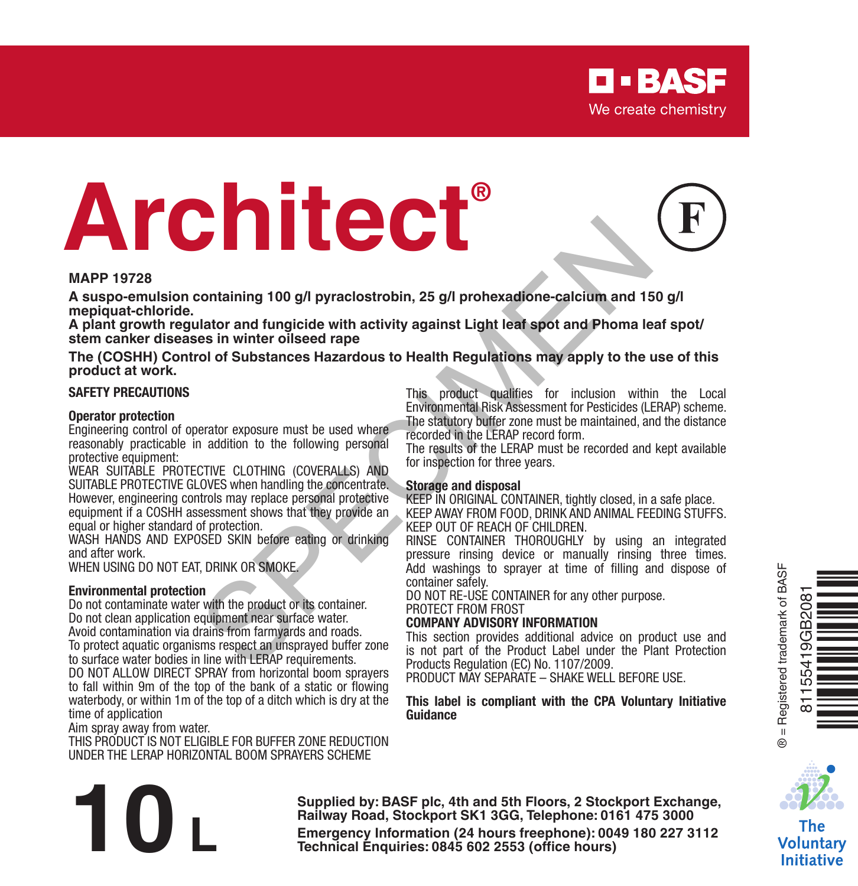# **Architect®**

#### **MAPP 19728**

**A suspo-emulsion containing 100 g/l pyraclostrobin, 25 g/l prohexadione-calcium and 150 g/l mepiquat-chloride.** 

**A plant growth regulator and fungicide with activity against Light leaf spot and Phoma leaf spot/ stem canker diseases in winter oilseed rape**

**The (COSHH) Control of Substances Hazardous to Health Regulations may apply to the use of this product at work.**

#### **SAFETY PRECAUTIONS**

#### **Operator protection**

Engineering control of operator exposure must be used where reasonably practicable in addition to the following personal protective equipment:

WEAR SUITABLE PROTECTIVE CLOTHING (COVERALLS) AND SUITABLE PROTECTIVE GLOVES when handling the concentrate. However, engineering controls may replace personal protective equipment if a COSHH assessment shows that they provide an equal or higher standard of protection.

WASH HANDS AND EXPOSED SKIN before eating or drinking and after work.

WHEN USING DO NOT EAT, DRINK OR SMOKE.

#### **Environmental protection**

Do not contaminate water with the product or its container. Do not clean application equipment near surface water. Avoid contamination via drains from farmyards and roads. To protect aquatic organisms respect an unsprayed buffer zone to surface water bodies in line with LERAP requirements. DO NOT ALLOW DIRECT SPRAY from horizontal boom sprayers to fall within 9m of the top of the bank of a static or flowing waterbody, or within 1m of the top of a ditch which is dry at the Containing 100 g/l pyraclostrobin, 25 g/l prohexadione-calcium and 15<br>
lalator and fungicide with activity against Light lead spot and Phoma le<br>
sin winter oilseed rape<br>
ol of Substances Hazardous to Health Regulations may

time of application

Aim spray away from water.

THIS PRODUCT IS NOT ELIGIBLE FOR BUFFER ZONE REDUCTION UNDER THE LERAP HORIZONTAL BOOM SPRAYERS SCHEME

This product qualifies for inclusion within the Local Environmental Risk Assessment for Pesticides (LERAP) scheme. The statutory buffer zone must be maintained, and the distance recorded in the LERAP record form.

The results of the LERAP must be recorded and kept available for inspection for three years.

#### **Storage and disposal**

KEEP IN ORIGINAL CONTAINER, tightly closed, in a safe place. KEEP AWAY FROM FOOD, DRINK AND ANIMAL FEEDING STUFFS. KEEP OUT OF REACH OF CHILDREN.

RINSE CONTAINER THOROUGHLY by using an integrated pressure rinsing device or manually rinsing three times. Add washings to sprayer at time of filling and dispose of

DO NOT RE-USE CONTAINER for any other purpose. PROTECT FROM FROST

#### **COMPANY ADVISORY INFORMATION**

This section provides additional advice on product use and is not part of the Product Label under the Plant Protection Products Regulation (EC) No. 1107/2009.

PRODUCT MAY SEPARATE – SHAKE WELL BEFORE USE.

#### **This label is compliant with the CPA Voluntary Initiative Guidance**





The Voluntary **Initiative** 

**Supplied by: BASF plc, 4th and 5th Floors, 2 Stockport Exchange, Railway Road, Stockport SK1 3GG, Telephone: 0161 475 3000** Supplied by: BASF plc, 4th and 5th Floors, 2 Stockport Exchange,<br>Railway Road, Stockport SK1 3GG, Telephone: 0161 475 3000<br>Emergency Information (24 hours freephone): 0049 180 227 3112<br>Technical Enquiries: 0845 602 2553 (o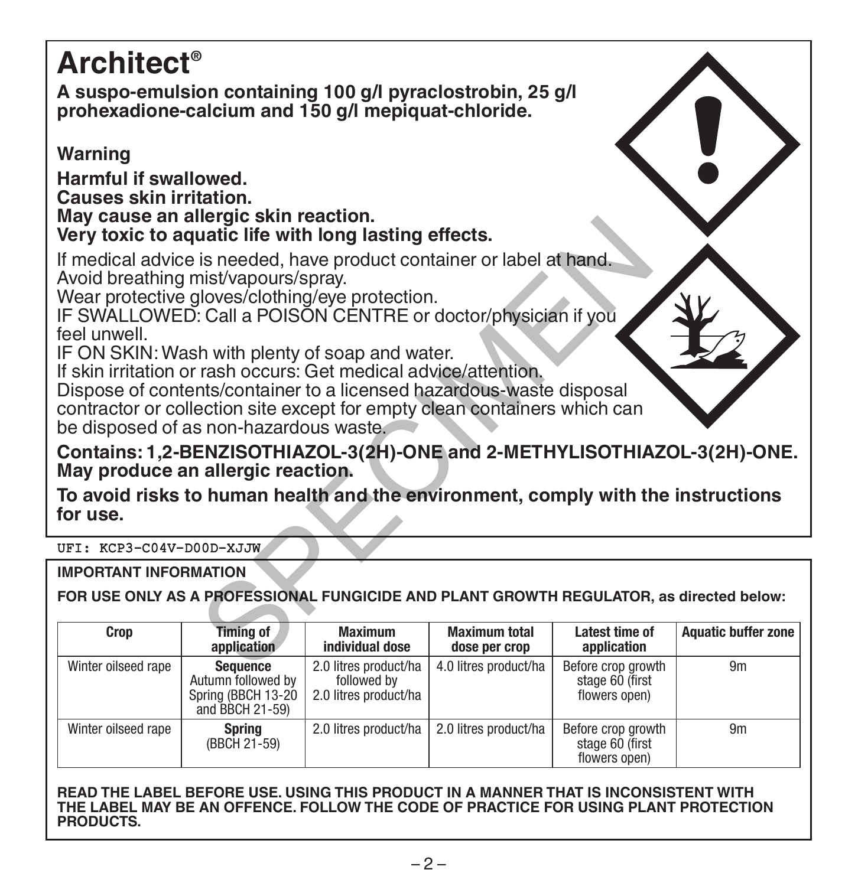# **Architect®**

**A suspo-emulsion containing 100 g/l pyraclostrobin, 25 g/l prohexadione-calcium and 150 g/l mepiquat-chloride.** 

# **Warning**

**Harmful if swallowed.**

**Causes skin irritation.**

**May cause an allergic skin reaction.**

# **Very toxic to aquatic life with long lasting effects.**

If medical advice is needed, have product container or label at hand. Avoid breathing mist/vapours/spray.

Wear protective gloves/clothing/eye protection.

IF SWALLOWED: Call a POISON CENTRE or doctor/physician if you feel unwell.

IF ON SKIN: Wash with plenty of soap and water.

If skin irritation or rash occurs: Get medical advice/attention.

Dispose of contents/container to a licensed hazardous-waste disposal contractor or collection site except for empty clean containers which can be disposed of as non-hazardous waste. Hergic Sami Peachion.<br>
ustic life with long lasting effects.<br>
is needed, have product container or label at hand.<br>
hist/vapours/spray.<br>
Iloves/clothing/eye protection.<br>
Call a POISON CENTRE or doctor/physician if you<br>
h wi

**Contains: 1,2-BENZISOTHIAZOL-3(2H)-ONE and 2-METHYLISOTHIAZOL-3(2H)-ONE. May produce an allergic reaction.**

**To avoid risks to human health and the environment, comply with the instructions for use.**

# UFI: KCP3-C04V-D00D-XJJW

**IMPORTANT INFORMATION**

**FOR USE ONLY AS A PROFESSIONAL FUNGICIDE AND PLANT GROWTH REGULATOR, as directed below:**

| Crop                | Timing of<br>application                                                       | <b>Maximum</b><br>individual dose                             | <b>Maximum total</b><br>dose per crop | Latest time of<br>application                          | Aquatic buffer zone |
|---------------------|--------------------------------------------------------------------------------|---------------------------------------------------------------|---------------------------------------|--------------------------------------------------------|---------------------|
| Winter oilseed rape | <b>Sequence</b><br>Autumn followed by<br>Spring (BBCH 13-20<br>and BBCH 21-59) | 2.0 litres product/ha<br>followed by<br>2.0 litres product/ha | 4.0 litres product/ha                 | Before crop growth<br>stage 60 (first<br>flowers open) | 9m                  |
| Winter oilseed rape | <b>Spring</b><br>(BBCH 21-59)                                                  | 2.0 litres product/ha                                         | 2.0 litres product/ha                 | Before crop growth<br>stage 60 (first<br>flowers open) | 9m                  |

**READ THE LABEL BEFORE USE. USING THIS PRODUCT IN A MANNER THAT IS INCONSISTENT WITH THE LABEL MAY BE AN OFFENCE. FOLLOW THE CODE OF PRACTICE FOR USING PLANT PROTECTION PRODUCTS.**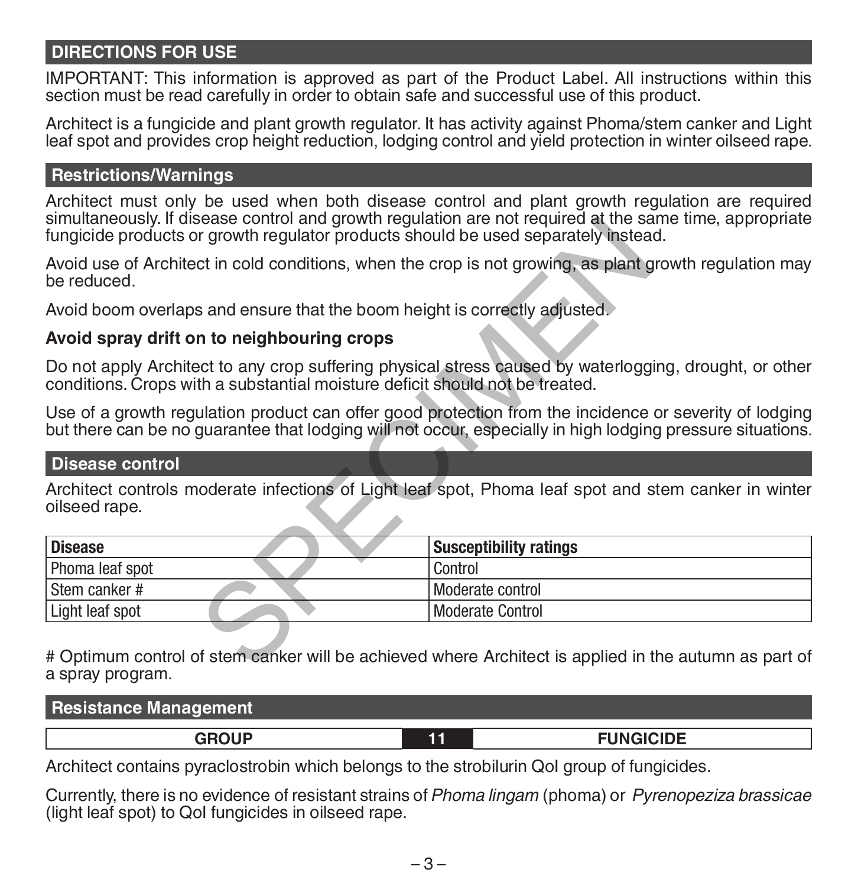# **DIRECTIONS FOR USE**

IMPORTANT: This information is approved as part of the Product Label. All instructions within this section must be read carefully in order to obtain safe and successful use of this product.

Architect is a fungicide and plant growth regulator. It has activity against Phoma/stem canker and Light leaf spot and provides crop height reduction, lodging control and yield protection in winter oilseed rape.

# **Restrictions/Warnings**

Architect must only be used when both disease control and plant growth regulation are required simultaneously. If disease control and growth regulation are not required at the same time, appropriate fungicide products or growth regulator products should be used separately instead.

# **Avoid spray drift on to neighbouring crops**

# **Disease control**

| simulianeously. If disease control and growth requiation are not required at the same time, appropriate<br>fungicide products or growth regulator products should be used separately instead.                        |                               |
|----------------------------------------------------------------------------------------------------------------------------------------------------------------------------------------------------------------------|-------------------------------|
| Avoid use of Architect in cold conditions, when the crop is not growing, as plant growth regulation may<br>be reduced.                                                                                               |                               |
| Avoid boom overlaps and ensure that the boom height is correctly adjusted.                                                                                                                                           |                               |
| Avoid spray drift on to neighbouring crops                                                                                                                                                                           |                               |
| Do not apply Architect to any crop suffering physical stress caused by waterlogging, drought, or other<br>conditions. Crops with a substantial moisture deficit should not be treated.                               |                               |
| Use of a growth regulation product can offer good protection from the incidence or severity of lodging<br>but there can be no quarantee that lodging will not occur, especially in high lodging pressure situations. |                               |
| <b>Disease control</b>                                                                                                                                                                                               |                               |
| Architect controls moderate infections of Light leaf spot. Phoma leaf spot and stem canker in winter<br>oilseed rape.                                                                                                |                               |
| <b>Disease</b>                                                                                                                                                                                                       | <b>Susceptibility ratings</b> |
| Phoma leaf spot                                                                                                                                                                                                      | Control                       |
| Stem canker #                                                                                                                                                                                                        | Moderate control              |
| Light leaf spot                                                                                                                                                                                                      | <b>Moderate Control</b>       |
| # Optimum control of stem canker will be achieved where Architect is applied in the autumn as part of                                                                                                                |                               |

# Optimum control of stem canker will be achieved where Architect is applied in the autumn as part of a spray program.

| <b>Resistance Management</b> |     |                  |  |  |  |  |
|------------------------------|-----|------------------|--|--|--|--|
| <b>GROUP</b>                 | - - | <b>FUNGICIDE</b> |  |  |  |  |

Architect contains pyraclostrobin which belongs to the strobilurin QoI group of fungicides.

Currently, there is no evidence of resistant strains of *Phoma lingam* (phoma) or *Pyrenopeziza brassicae* (light leaf spot) to QoI fungicides in oilseed rape.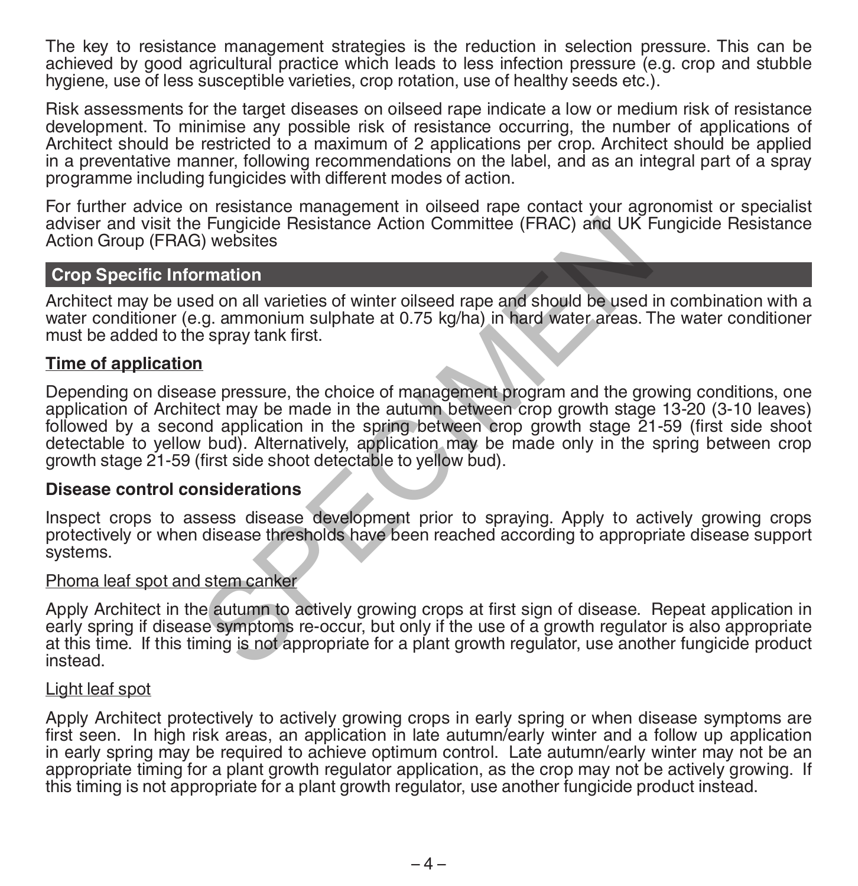The key to resistance management strategies is the reduction in selection pressure. This can be achieved by good agricultural practice which leads to less infection pressure (e.g. crop and stubble hygiene, use of less susceptible varieties, crop rotation, use of healthy seeds etc.).

Risk assessments for the target diseases on oilseed rape indicate a low or medium risk of resistance development. To minimise any possible risk of resistance occurring, the number of applications of Architect should be restricted to a maximum of 2 applications per crop. Architect should be applied in a preventative manner, following recommendations on the label, and as an integral part of a spray programme including fungicides with different modes of action.

For further advice on resistance management in oilseed rape contact your agronomist or specialist adviser and visit the Fungicide Resistance Action Committee (FRAC) and UK Fungicide Resistance Action Group (FRAG) websites

# **Crop Specific Information**

Architect may be used on all varieties of winter oilseed rape and should be used in combination with a water conditioner (e.g. ammonium sulphate at 0.75 kg/ha) in hard water areas. The water conditioner must be added to the spray tank first.

#### **Time of application**

Depending on disease pressure, the choice of management program and the growing conditions, one application of Architect may be made in the autumn between crop growth stage 13-20 (3-10 leaves) followed by a second application in the spring between crop growth stage 21-59 (first side shoot detectable to yellow bud). Alternatively, application may be made only in the spring between crop growth stage 21-59 (first side shoot detectable to yellow bud). Fungicide Resistance Action Committee (FRAC) and UK F<br>a) websites<br>transion<br>and on all varieties of winter oilseed rape and should be used<br>.g. ammonium sulphate at 0.75 kg/ha) in hard water areas. 1<br>e spray tank first.<br>a<br>se

#### **Disease control considerations**

Inspect crops to assess disease development prior to spraying. Apply to actively growing crops protectively or when disease thresholds have been reached according to appropriate disease support systems.

# Phoma leaf spot and stem canker

Apply Architect in the autumn to actively growing crops at first sign of disease. Repeat application in early spring if disease symptoms re-occur, but only if the use of a growth regulator is also appropriate at this time. If this timing is not appropriate for a plant growth regulator, use another fungicide product instead.

#### Light leaf spot

Apply Architect protectively to actively growing crops in early spring or when disease symptoms are first seen. In high risk areas, an application in late autumn/early winter and a follow up application in early spring may be required to achieve optimum control. Late autumn/early winter may not be an appropriate timing for a plant growth regulator application, as the crop may not be actively growing. If this timing is not appropriate for a plant growth regulator, use another fungicide product instead.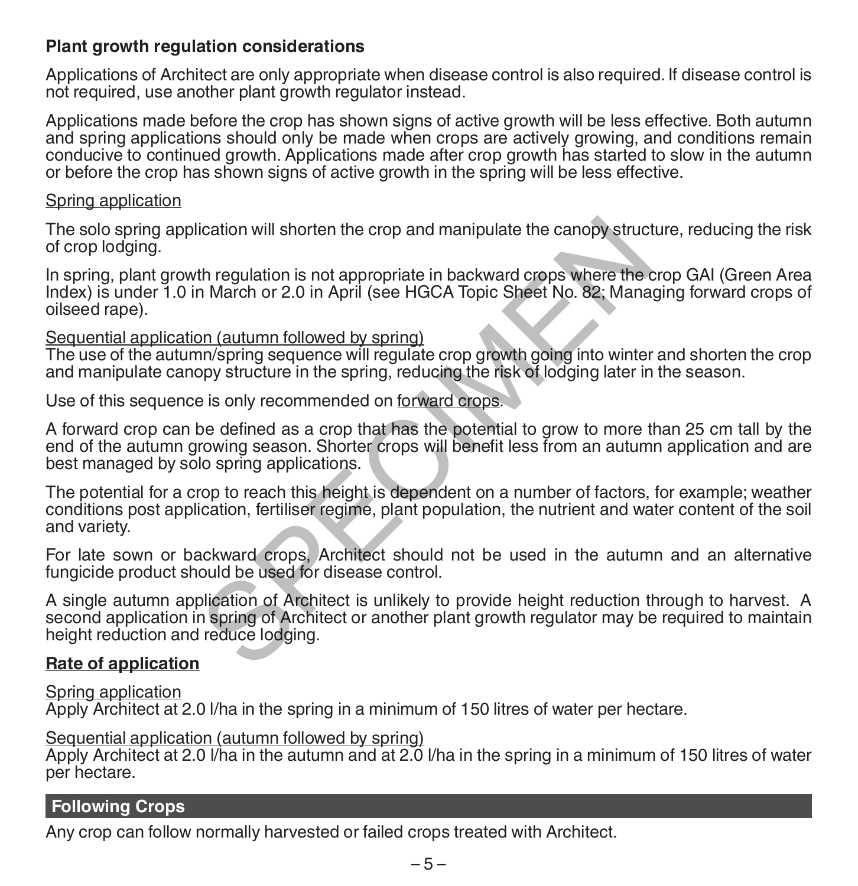# **Plant growth regulation considerations**

Applications of Architect are only appropriate when disease control is also required. If disease control is not required, use another plant growth regulator instead.

Applications made before the crop has shown signs of active growth will be less effective. Both autumn and spring applications should only be made when crops are actively growing, and conditions remain conducive to continued growth. Applications made after crop growth has started to slow in the autumn or before the crop has shown signs of active growth in the spring will be less effective.

#### Spring application

The solo spring application will shorten the crop and manipulate the canopy structure, reducing the risk of crop lodging.

In spring, plant growth regulation is not appropriate in backward crops where the crop GAI (Green Area Index) is under 1.0 in March or 2.0 in April (see HGCA Topic Sheet No. 82; Managing forward crops of oilseed rape).

# Sequential application (autumn followed by spring)

The use of the autumn/spring sequence will regulate crop growth going into winter and shorten the crop and manipulate canopy structure in the spring, reducing the risk of lodging later in the season.

Use of this sequence is only recommended on forward crops.

A forward crop can be defined as a crop that has the potential to grow to more than 25 cm tall by the end of the autumn growing season. Shorter crops will benefit less from an autumn application and are best managed by solo spring applications.

The potential for a crop to reach this height is dependent on a number of factors, for example; weather conditions post application, fertiliser regime, plant population, the nutrient and water content of the soil and variety.

For late sown or backward crops, Architect should not be used in the autumn and an alternative fungicide product should be used for disease control.

A single autumn application of Architect is unlikely to provide height reduction through to harvest. A second application in spring of Architect or another plant growth regulator may be required to maintain height reduction and reduce lodging. ication will shorten the crop and manipulate the canopy struct<br>th regulation is not appropriate in backward crops where the to<br>March or 2.0 in April (see HGCA Topic Sheet No. 82; Mana<br>pon (autumn followed by spring)<br>non/sp

# **Rate of application**

Spring application Apply Architect at 2.0 l/ha in the spring in a minimum of 150 litres of water per hectare.

Sequential application (autumn followed by spring)

Apply Architect at 2.0 l/ha in the autumn and at 2.0 l/ha in the spring in a minimum of 150 litres of water per hectare.

# **Following Crops**

Any crop can follow normally harvested or failed crops treated with Architect.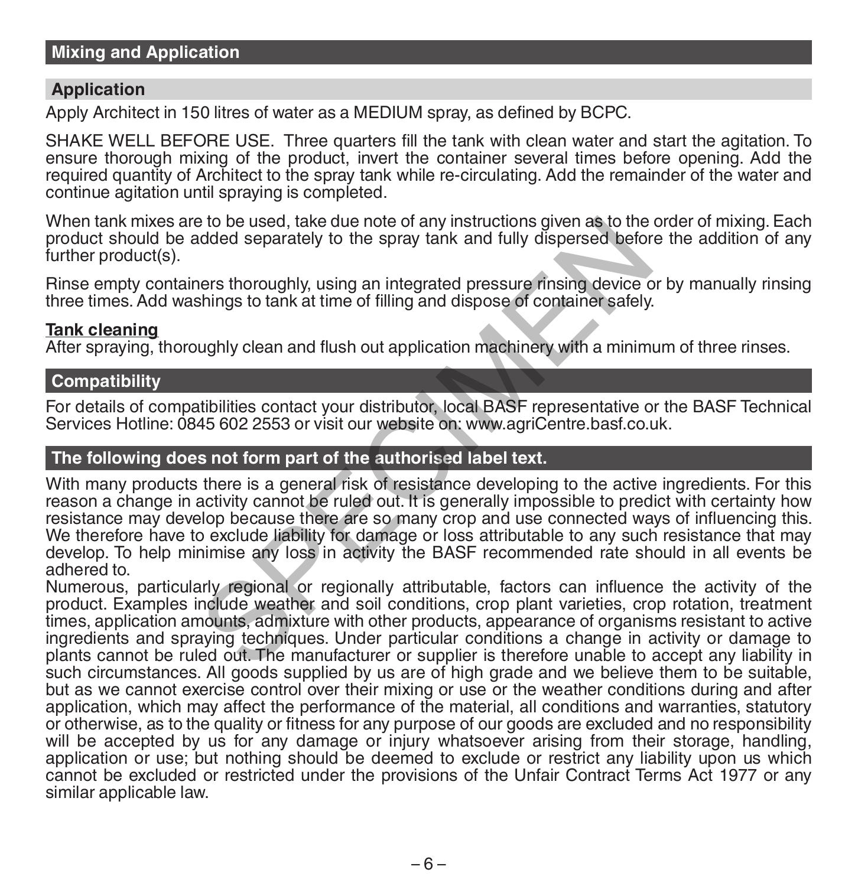# **Application**

Apply Architect in 150 litres of water as a MEDIUM spray, as defined by BCPC.

SHAKE WELL BEFORE USE. Three quarters fill the tank with clean water and start the agitation. To ensure thorough mixing of the product, invert the container several times before opening. Add the required quantity of Architect to the spray tank while re-circulating. Add the remainder of the water and continue agitation until spraying is completed.

When tank mixes are to be used, take due note of any instructions given as to the order of mixing. Each product should be added separately to the spray tank and fully dispersed before the addition of any further product(s).

Rinse empty containers thoroughly, using an integrated pressure rinsing device or by manually rinsing three times. Add washings to tank at time of filling and dispose of container safely.

#### **Tank cleaning**

After spraying, thoroughly clean and flush out application machinery with a minimum of three rinses.

# **Compatibility**

For details of compatibilities contact your distributor, local BASF representative or the BASF Technical Services Hotline: 0845 602 2553 or visit our website on: www.agriCentre.basf.co.uk.

# **The following does not form part of the authorised label text.**

With many products there is a general risk of resistance developing to the active ingredients. For this reason a change in activity cannot be ruled out. It is generally impossible to predict with certainty how resistance may develop because there are so many crop and use connected ways of influencing this. We therefore have to exclude liability for damage or loss attributable to any such resistance that may develop. To help minimise any loss in activity the BASF recommended rate should in all events be adhered to. be used, take due note of any instructions given as to the<br>dded separately to the spray tank and fully dispersed befor<br>ners thoroughly, using an integrated pressure rinsing device c<br>shings to tank at time of filling and di

Numerous, particularly regional or regionally attributable, factors can influence the activity of the product. Examples include weather and soil conditions, crop plant varieties, crop rotation, treatment times, application amounts, admixture with other products, appearance of organisms resistant to active ingredients and spraying techniques. Under particular conditions a change in activity or damage to plants cannot be ruled out. The manufacturer or supplier is therefore unable to accept any liability in such circumstances. All goods supplied by us are of high grade and we believe them to be suitable, but as we cannot exercise control over their mixing or use or the weather conditions during and after application, which may affect the performance of the material, all conditions and warranties, statutory or otherwise, as to the quality or fitness for any purpose of our goods are excluded and no responsibility will be accepted by us for any damage or injury whatsoever arising from their storage, handling, application or use; but nothing should be deemed to exclude or restrict any liability upon us which cannot be excluded or restricted under the provisions of the Unfair Contract Terms Act 1977 or any similar applicable law.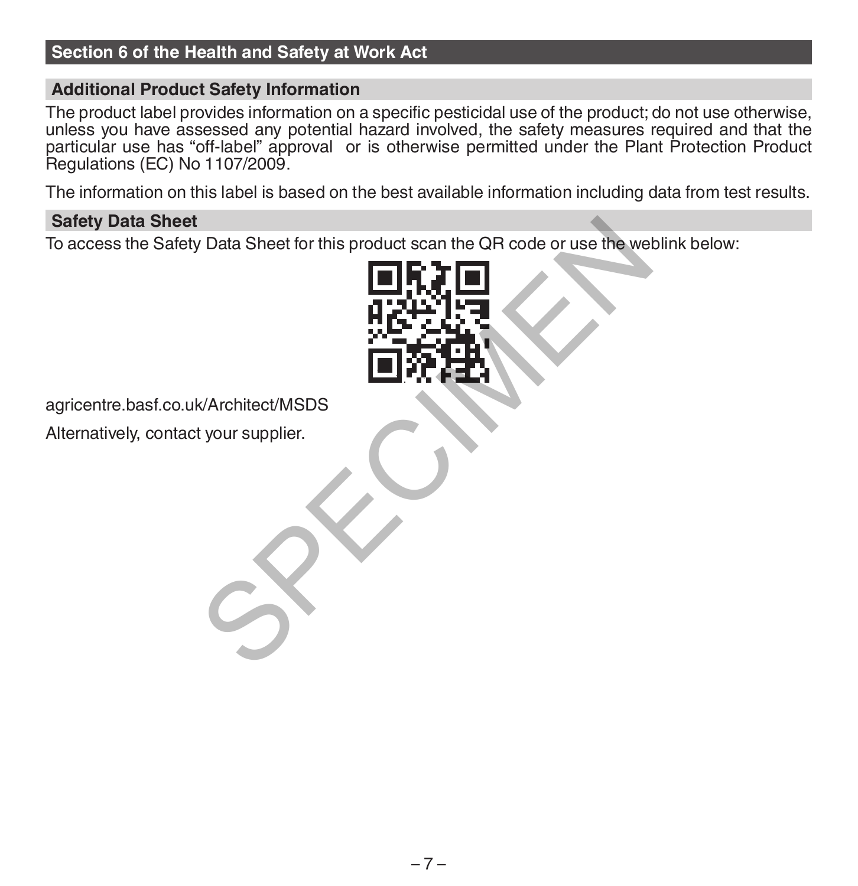# **Section 6 of the Health and Safety at Work Act**

# **Additional Product Safety Information**

The product label provides information on a specific pesticidal use of the product; do not use otherwise, unless you have assessed any potential hazard involved, the safety measures required and that the particular use has "off-label" approval or is otherwise permitted under the Plant Protection Product Regulations (EC) No 1107/2009.

The information on this label is based on the best available information including data from test results.

### **Safety Data Sheet**

To access the Safety Data Sheet for this product scan the QR code or use the weblink below: V Data Sheet for this product scan the QR code or use the we<br>  $\blacksquare$ 



Alternatively, contact your supplier.